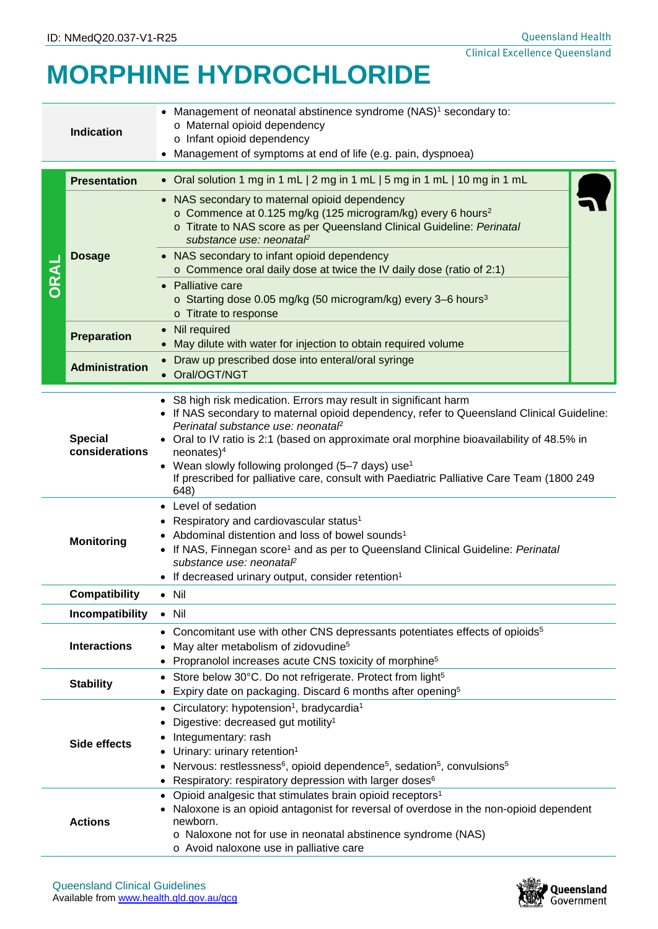## **MORPHINE HYDROCHLORIDE**

| <b>Indication</b>                                                                                                                                                                                                                                                                                                                                                                                    |                       | Management of neonatal abstinence syndrome (NAS) <sup>1</sup> secondary to:<br>o Maternal opioid dependency<br>o Infant opioid dependency<br>Management of symptoms at end of life (e.g. pain, dyspnoea)                                                                                                                                                                                                                                                                                        |  |  |  |  |
|------------------------------------------------------------------------------------------------------------------------------------------------------------------------------------------------------------------------------------------------------------------------------------------------------------------------------------------------------------------------------------------------------|-----------------------|-------------------------------------------------------------------------------------------------------------------------------------------------------------------------------------------------------------------------------------------------------------------------------------------------------------------------------------------------------------------------------------------------------------------------------------------------------------------------------------------------|--|--|--|--|
|                                                                                                                                                                                                                                                                                                                                                                                                      | <b>Presentation</b>   | • Oral solution 1 mg in 1 mL   2 mg in 1 mL   5 mg in 1 mL   10 mg in 1 mL                                                                                                                                                                                                                                                                                                                                                                                                                      |  |  |  |  |
|                                                                                                                                                                                                                                                                                                                                                                                                      | <b>Dosage</b>         | NAS secondary to maternal opioid dependency<br>o Commence at 0.125 mg/kg (125 microgram/kg) every 6 hours <sup>2</sup><br>o Titrate to NAS score as per Queensland Clinical Guideline: Perinatal<br>substance use: neonatal<br>• NAS secondary to infant opioid dependency<br>o Commence oral daily dose at twice the IV daily dose (ratio of 2:1)<br>• Palliative care                                                                                                                         |  |  |  |  |
|                                                                                                                                                                                                                                                                                                                                                                                                      |                       | o Starting dose 0.05 mg/kg (50 microgram/kg) every 3-6 hours <sup>3</sup><br>o Titrate to response                                                                                                                                                                                                                                                                                                                                                                                              |  |  |  |  |
|                                                                                                                                                                                                                                                                                                                                                                                                      | <b>Preparation</b>    | Nil required<br>May dilute with water for injection to obtain required volume                                                                                                                                                                                                                                                                                                                                                                                                                   |  |  |  |  |
|                                                                                                                                                                                                                                                                                                                                                                                                      | <b>Administration</b> | • Draw up prescribed dose into enteral/oral syringe<br>• Oral/OGT/NGT                                                                                                                                                                                                                                                                                                                                                                                                                           |  |  |  |  |
| <b>Special</b><br>considerations                                                                                                                                                                                                                                                                                                                                                                     |                       | • S8 high risk medication. Errors may result in significant harm<br>If NAS secondary to maternal opioid dependency, refer to Queensland Clinical Guideline:<br>Perinatal substance use: neonatal <sup>2</sup><br>Oral to IV ratio is 2:1 (based on approximate oral morphine bioavailability of 48.5% in<br>$neonates)^4$<br>• Wean slowly following prolonged (5-7 days) use <sup>1</sup><br>If prescribed for palliative care, consult with Paediatric Palliative Care Team (1800 249<br>648) |  |  |  |  |
|                                                                                                                                                                                                                                                                                                                                                                                                      | <b>Monitoring</b>     | • Level of sedation<br>Respiratory and cardiovascular status <sup>1</sup><br>Abdominal distention and loss of bowel sounds <sup>1</sup><br>If NAS, Finnegan score <sup>1</sup> and as per to Queensland Clinical Guideline: Perinatal<br>substance use: neonataP<br>If decreased urinary output, consider retention <sup>1</sup>                                                                                                                                                                |  |  |  |  |
|                                                                                                                                                                                                                                                                                                                                                                                                      | <b>Compatibility</b>  | $\bullet$ Nil                                                                                                                                                                                                                                                                                                                                                                                                                                                                                   |  |  |  |  |
|                                                                                                                                                                                                                                                                                                                                                                                                      | Incompatibility       | $\bullet$ Nil                                                                                                                                                                                                                                                                                                                                                                                                                                                                                   |  |  |  |  |
|                                                                                                                                                                                                                                                                                                                                                                                                      | <b>Interactions</b>   | • Concomitant use with other CNS depressants potentiates effects of opioids <sup>5</sup><br>May alter metabolism of zidovudine <sup>5</sup><br>Propranolol increases acute CNS toxicity of morphine <sup>5</sup>                                                                                                                                                                                                                                                                                |  |  |  |  |
| Store below 30°C. Do not refrigerate. Protect from light <sup>5</sup><br><b>Stability</b><br>Expiry date on packaging. Discard 6 months after opening <sup>5</sup><br>$\bullet$                                                                                                                                                                                                                      |                       |                                                                                                                                                                                                                                                                                                                                                                                                                                                                                                 |  |  |  |  |
| Circulatory: hypotension <sup>1</sup> , bradycardia <sup>1</sup><br>Digestive: decreased gut motility <sup>1</sup><br>Integumentary: rash<br>Side effects<br>Urinary: urinary retention <sup>1</sup><br>Nervous: restlessness <sup>6</sup> , opioid dependence <sup>5</sup> , sedation <sup>5</sup> , convulsions <sup>5</sup><br>Respiratory: respiratory depression with larger doses <sup>6</sup> |                       |                                                                                                                                                                                                                                                                                                                                                                                                                                                                                                 |  |  |  |  |
| <b>Actions</b>                                                                                                                                                                                                                                                                                                                                                                                       |                       | Opioid analgesic that stimulates brain opioid receptors <sup>1</sup><br>Naloxone is an opioid antagonist for reversal of overdose in the non-opioid dependent<br>newborn.<br>o Naloxone not for use in neonatal abstinence syndrome (NAS)<br>o Avoid naloxone use in palliative care                                                                                                                                                                                                            |  |  |  |  |